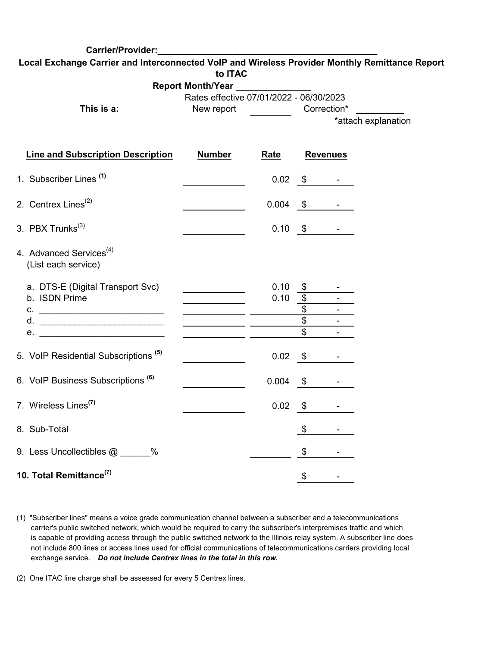| Carrier/Provider:                                                                              |                                            |                                                                   |                 |                               |                     |  |  |
|------------------------------------------------------------------------------------------------|--------------------------------------------|-------------------------------------------------------------------|-----------------|-------------------------------|---------------------|--|--|
| Local Exchange Carrier and Interconnected VoIP and Wireless Provider Monthly Remittance Report |                                            |                                                                   |                 |                               |                     |  |  |
|                                                                                                | to ITAC                                    |                                                                   |                 |                               |                     |  |  |
|                                                                                                | Report Month/Year _____________            |                                                                   |                 |                               |                     |  |  |
| This is a:                                                                                     |                                            | Rates effective 07/01/2022 - 06/30/2023<br>New report Correction* |                 |                               |                     |  |  |
|                                                                                                |                                            |                                                                   |                 |                               | *attach explanation |  |  |
|                                                                                                |                                            |                                                                   |                 |                               |                     |  |  |
| <b>Line and Subscription Description</b>                                                       | <b>Number</b>                              | <u>Rate</u>                                                       | <b>Revenues</b> |                               |                     |  |  |
| 1. Subscriber Lines <sup>(1)</sup>                                                             |                                            |                                                                   |                 | $0.02 \frac{\$}{$ -           |                     |  |  |
| 2. Centrex Lines <sup>(2)</sup>                                                                |                                            |                                                                   |                 | $0.004 \quad $ \quad - \quad$ |                     |  |  |
| 3. PBX Trunks <sup>(3)</sup>                                                                   |                                            |                                                                   |                 | $0.10 \frac{\$}{\$}$ -        |                     |  |  |
| 4. Advanced Services <sup>(4)</sup><br>(List each service)                                     |                                            |                                                                   |                 |                               |                     |  |  |
| a. DTS-E (Digital Transport Svc)                                                               |                                            | 0.10                                                              |                 |                               |                     |  |  |
| b. ISDN Prime                                                                                  |                                            | $0.10 \frac{1}{2}$                                                |                 |                               |                     |  |  |
|                                                                                                | <u> 1990 - Johann Barbara, martin eta </u> |                                                                   | $\overline{\$}$ |                               |                     |  |  |
|                                                                                                |                                            |                                                                   | $\overline{\$}$ |                               |                     |  |  |
| e.                                                                                             |                                            |                                                                   | $\mathfrak{S}$  |                               |                     |  |  |
| 5. VoIP Residential Subscriptions <sup>(5)</sup>                                               |                                            |                                                                   | $0.02 \quad$ \$ | $\sigma_{\rm{max}}$           |                     |  |  |
| 6. VoIP Business Subscriptions (6)                                                             |                                            | $0.004$ \$                                                        |                 |                               |                     |  |  |
| 7. Wireless Lines <sup>(7)</sup>                                                               |                                            | 0.02                                                              | $\mathfrak{S}$  |                               |                     |  |  |
| 8. Sub-Total                                                                                   |                                            |                                                                   | \$              |                               |                     |  |  |
| 9. Less Uncollectibles @ _____%                                                                |                                            |                                                                   | \$              |                               |                     |  |  |
| 10. Total Remittance <sup>(7)</sup>                                                            |                                            |                                                                   | \$              |                               |                     |  |  |

- (1) "Subscriber lines" means a voice grade communication channel between a subscriber and a telecommunications carrier's public switched network, which would be required to carry the subscriber's interpremises traffic and which is capable of providing access through the public switched network to the Illinois relay system. A subscriber line does not include 800 lines or access lines used for official communications of telecommunications carriers providing local exchange service. *Do not include Centrex lines in the total in this row.*
- (2) One ITAC line charge shall be assessed for every 5 Centrex lines.